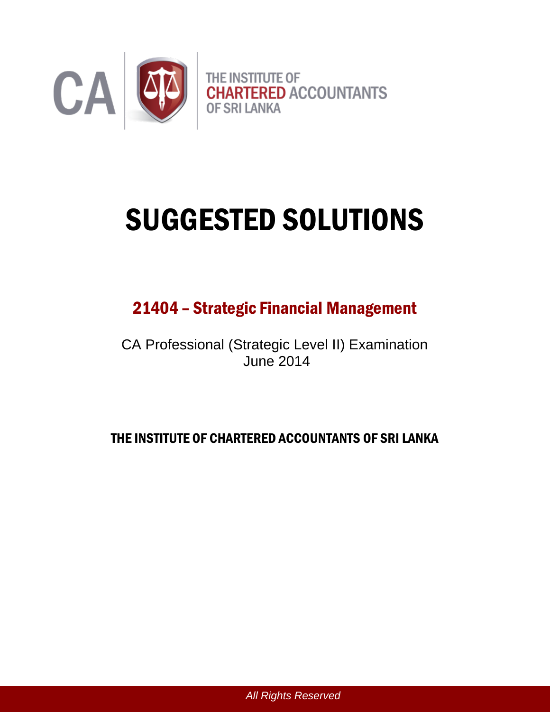

# SUGGESTED SOLUTIONS

# 21404 – Strategic Financial Management

CA Professional (Strategic Level II) Examination June 2014

# THE INSTITUTE OF CHARTERED ACCOUNTANTS OF SRI LANKA

*All Rights Reserved*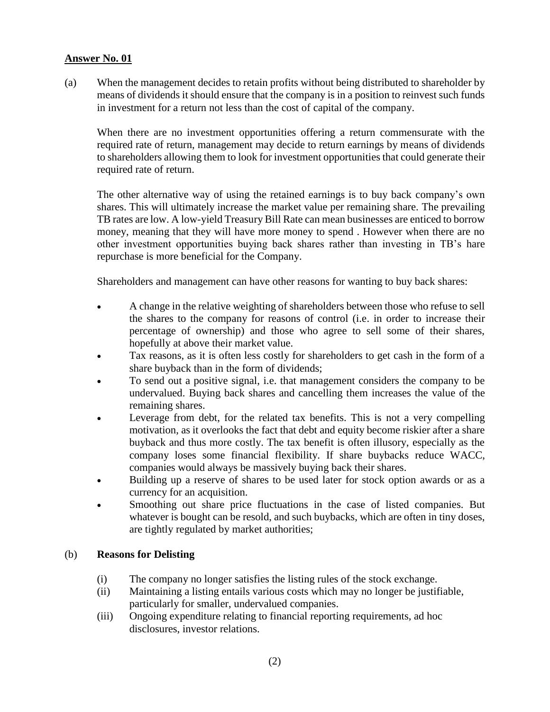(a) When the management decides to retain profits without being distributed to shareholder by means of dividends it should ensure that the company is in a position to reinvest such funds in investment for a return not less than the cost of capital of the company.

When there are no investment opportunities offering a return commensurate with the required rate of return, management may decide to return earnings by means of dividends to shareholders allowing them to look for investment opportunities that could generate their required rate of return.

The other alternative way of using the retained earnings is to buy back company's own shares. This will ultimately increase the market value per remaining share. The prevailing TB rates are low. A low-yield Treasury Bill Rate can mean businesses are enticed to borrow money, meaning that they will have more money to spend . However when there are no other investment opportunities buying back shares rather than investing in TB's hare repurchase is more beneficial for the Company.

Shareholders and management can have other reasons for wanting to buy back shares:

- A change in the relative weighting of shareholders between those who refuse to sell the shares to the company for reasons of control (i.e. in order to increase their percentage of ownership) and those who agree to sell some of their shares, hopefully at above their market value.
- Tax reasons, as it is often less costly for shareholders to get cash in the form of a share buyback than in the form of dividends;
- To send out a positive signal, i.e. that management considers the company to be undervalued. Buying back shares and cancelling them increases the value of the remaining shares.
- Leverage from debt, for the related tax benefits. This is not a very compelling motivation, as it overlooks the fact that debt and equity become riskier after a share buyback and thus more costly. The tax benefit is often illusory, especially as the company loses some financial flexibility. If share buybacks reduce WACC, companies would always be massively buying back their shares.
- Building up a reserve of shares to be used later for stock option awards or as a currency for an acquisition.
- Smoothing out share price fluctuations in the case of listed companies. But whatever is bought can be resold, and such buybacks, which are often in tiny doses, are tightly regulated by market authorities;

#### (b) **Reasons for Delisting**

- (i) The company no longer satisfies the listing rules of the stock exchange.
- (ii) Maintaining a listing entails various costs which may no longer be justifiable, particularly for smaller, undervalued companies.
- (iii) Ongoing expenditure relating to financial reporting requirements, ad hoc disclosures, investor relations.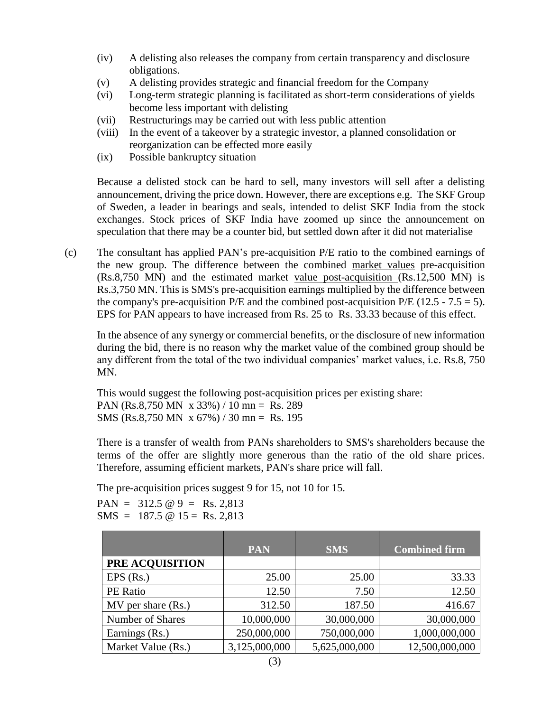- (iv) A delisting also releases the company from certain transparency and disclosure obligations.
- (v) A delisting provides strategic and financial freedom for the Company
- (vi) Long-term strategic planning is facilitated as short-term considerations of yields become less important with delisting
- (vii) Restructurings may be carried out with less public attention
- (viii) In the event of a takeover by a strategic investor, a planned consolidation or reorganization can be effected more easily
- (ix) Possible bankruptcy situation

Because a delisted stock can be hard to sell, many investors will sell after a delisting announcement, driving the price down. However, there are exceptions e.g. The SKF Group of Sweden, a leader in bearings and seals, intended to delist SKF India from the stock exchanges. Stock prices of SKF India have zoomed up since the announcement on speculation that there may be a counter bid, but settled down after it did not materialise

(c) The consultant has applied PAN's pre-acquisition P/E ratio to the combined earnings of the new group. The difference between the combined market values pre-acquisition (Rs.8,750 MN) and the estimated market value post-acquisition (Rs.12,500 MN) is Rs.3,750 MN. This is SMS's pre-acquisition earnings multiplied by the difference between the company's pre-acquisition  $P/E$  and the combined post-acquisition  $P/E$  (12.5 - 7.5 = 5). EPS for PAN appears to have increased from Rs. 25 to Rs. 33.33 because of this effect.

In the absence of any synergy or commercial benefits, or the disclosure of new information during the bid, there is no reason why the market value of the combined group should be any different from the total of the two individual companies' market values, i.e. Rs.8, 750 MN.

This would suggest the following post-acquisition prices per existing share: PAN (Rs.8,750 MN x 33%) / 10 mn = Rs. 289 SMS (Rs.8,750 MN x 67%) / 30 mn = Rs. 195

There is a transfer of wealth from PANs shareholders to SMS's shareholders because the terms of the offer are slightly more generous than the ratio of the old share prices. Therefore, assuming efficient markets, PAN's share price will fall.

The pre-acquisition prices suggest 9 for 15, not 10 for 15.

PAN =  $312.5 \text{ } \textcircled{9}$  = Rs. 2,813  $SMS = 187.5 \text{ } @ 15 = \text{Rs. } 2,813$ 

|                        | <b>PAN</b>    | <b>SMS</b>    | <b>Combined firm</b> |
|------------------------|---------------|---------------|----------------------|
| PRE ACQUISITION        |               |               |                      |
| $EPS$ (Rs.)            | 25.00         | 25.00         | 33.33                |
| PE Ratio               | 12.50         | 7.50          | 12.50                |
| $MV$ per share $(Rs.)$ | 312.50        | 187.50        | 416.67               |
| Number of Shares       | 10,000,000    | 30,000,000    | 30,000,000           |
| Earnings (Rs.)         | 250,000,000   | 750,000,000   | 1,000,000,000        |
| Market Value (Rs.)     | 3,125,000,000 | 5,625,000,000 | 12,500,000,000       |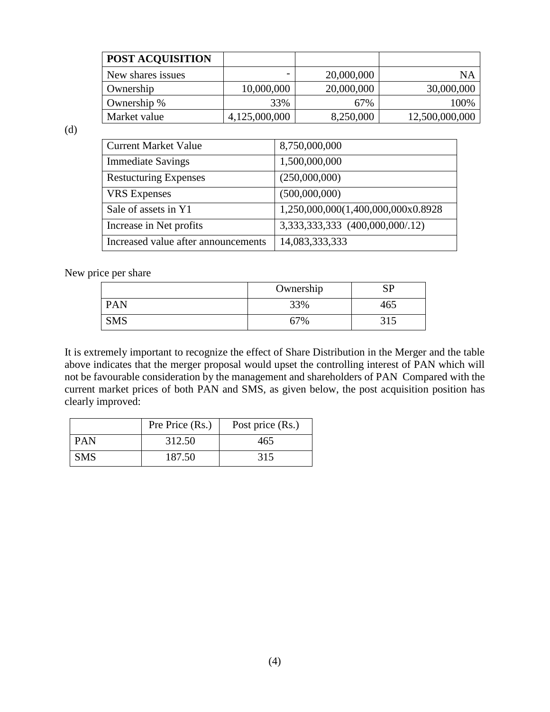| <b>POST ACQUISITION</b> |               |            |                |
|-------------------------|---------------|------------|----------------|
| New shares issues       |               | 20,000,000 | ΝA             |
| Ownership               | 10,000,000    | 20,000,000 | 30,000,000     |
| Ownership %             | 33%           | 67%        | 100%           |
| Market value            | 4,125,000,000 | 8,250,000  | 12,500,000,000 |

(d)

| <b>Current Market Value</b>         | 8,750,000,000                       |
|-------------------------------------|-------------------------------------|
| <b>Immediate Savings</b>            | 1,500,000,000                       |
| <b>Restucturing Expenses</b>        | (250,000,000)                       |
| <b>VRS</b> Expenses                 | (500,000,000)                       |
| Sale of assets in Y1                | 1,250,000,000(1,400,000,000x0.8928) |
| Increase in Net profits             | 3,333,333,333 (400,000,000/.12)     |
| Increased value after announcements | 14,083,333,333                      |

New price per share

|            | Ownership  | CD<br>◡ |
|------------|------------|---------|
| PAN        | 33%        | 165     |
| <b>SMS</b> | <b>67%</b> |         |

It is extremely important to recognize the effect of Share Distribution in the Merger and the table above indicates that the merger proposal would upset the controlling interest of PAN which will not be favourable consideration by the management and shareholders of PAN Compared with the current market prices of both PAN and SMS, as given below, the post acquisition position has clearly improved:

|            | Pre Price (Rs.) | Post price (Rs.) |
|------------|-----------------|------------------|
| <b>PAN</b> | 312.50          | 465              |
| <b>SMS</b> | 187.50          | 315              |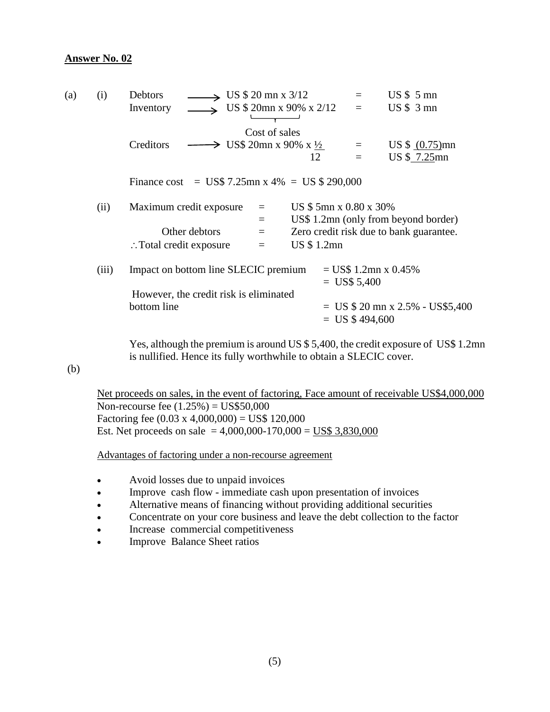| (a) | (i)                                    | $\rightarrow$ US \$ 20 mn x 3/12<br><b>Debtors</b>               |                        | $US \$ 5 mn                             |
|-----|----------------------------------------|------------------------------------------------------------------|------------------------|-----------------------------------------|
|     |                                        | US \$ 20mn x 90% x 2/12<br>Inventory                             | $=$                    | $US $3$ mn                              |
|     |                                        | Cost of sales                                                    |                        |                                         |
|     |                                        | $\rightarrow$ US\$ 20mn x 90% x $\frac{1}{2}$<br>Creditors       | $\equiv$               | US $$ (0.75)$ mn                        |
|     |                                        | 12                                                               | $=$                    | US \$ 7.25mn                            |
|     |                                        | Finance cost = $\text{US}\$$ 7.25mn x 4% = $\text{US}\$$ 290,000 |                        |                                         |
|     | (ii)                                   | Maximum credit exposure<br>$\qquad \qquad =\qquad$               | US \$5mn x 0.80 x 30%  |                                         |
|     |                                        | $\equiv$                                                         |                        | US\$ 1.2mn (only from beyond border)    |
|     |                                        | Other debtors<br>$\equiv$                                        |                        | Zero credit risk due to bank guarantee. |
|     |                                        | US \$ 1.2mn<br>$\therefore$ Total credit exposure<br>$=$         |                        |                                         |
|     | (iii)                                  | Impact on bottom line SLECIC premium                             | $=$ US\$ 1.2mn x 0.45% |                                         |
|     |                                        |                                                                  | $=$ US\$ 5,400         |                                         |
|     | However, the credit risk is eliminated |                                                                  |                        |                                         |
|     |                                        | bottom line                                                      |                        | $=$ US \$ 20 mn x 2.5% - US\$5,400      |
|     |                                        |                                                                  | $=$ US \$494,600       |                                         |
|     |                                        |                                                                  |                        |                                         |
|     |                                        |                                                                  |                        |                                         |

Yes, although the premium is around US \$ 5,400, the credit exposure of US\$ 1.2mn is nullified. Hence its fully worthwhile to obtain a SLECIC cover.

(b)

Net proceeds on sales, in the event of factoring, Face amount of receivable US\$4,000,000 Non-recourse fee (1.25%) = US\$50,000 Factoring fee  $(0.03 \times 4,000,000) = \text{USS } 120,000$ Est. Net proceeds on sale =  $4,000,000-170,000 = \text{US$ }3,830,000$ 

Advantages of factoring under a non-recourse agreement

- Avoid losses due to unpaid invoices
- Improve cash flow immediate cash upon presentation of invoices
- Alternative means of financing without providing additional securities
- Concentrate on your core business and leave the debt collection to the factor
- Increase commercial competitiveness
- Improve Balance Sheet ratios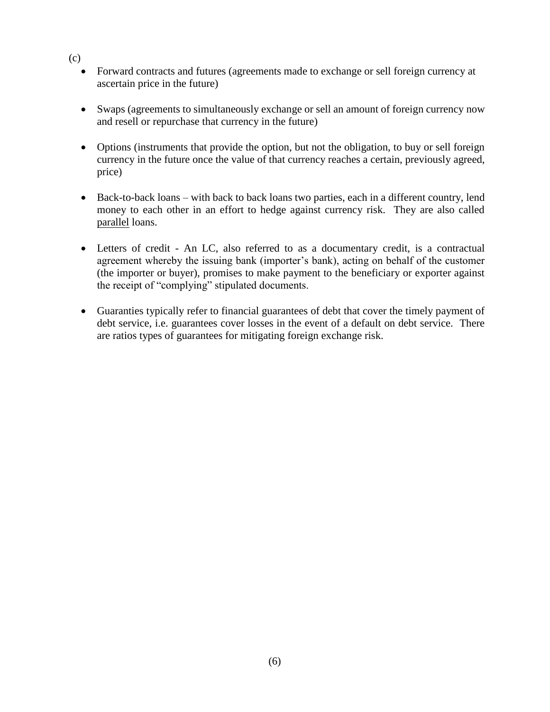- (c)
	- Forward contracts and futures (agreements made to exchange or sell foreign currency at ascertain price in the future)
	- Swaps (agreements to simultaneously exchange or sell an amount of foreign currency now and resell or repurchase that currency in the future)
	- Options (instruments that provide the option, but not the obligation, to buy or sell foreign currency in the future once the value of that currency reaches a certain, previously agreed, price)
	- Back-to-back loans with back to back loans two parties, each in a different country, lend money to each other in an effort to hedge against currency risk. They are also called parallel loans.
	- Letters of credit An LC, also referred to as a documentary credit, is a contractual agreement whereby the issuing bank (importer's bank), acting on behalf of the customer (the importer or buyer), promises to make payment to the beneficiary or exporter against the receipt of "complying" stipulated documents.
	- Guaranties typically refer to financial guarantees of debt that cover the timely payment of debt service, i.e. guarantees cover losses in the event of a default on debt service. There are ratios types of guarantees for mitigating foreign exchange risk.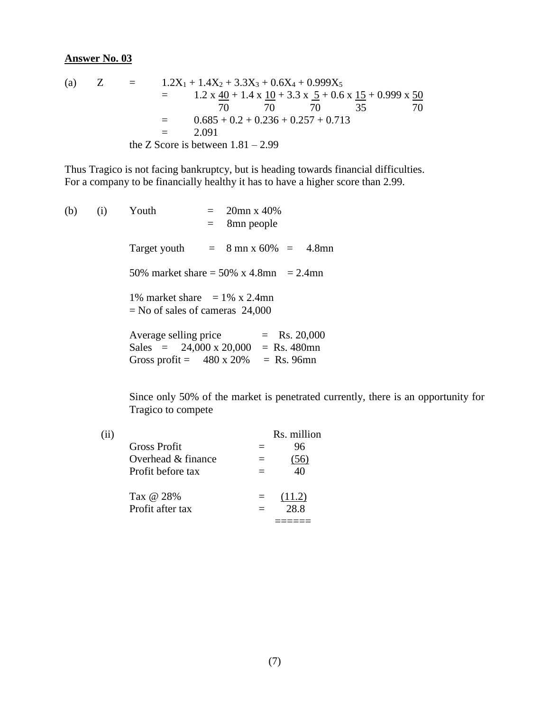(a) 
$$
Z = 1.2X_1 + 1.4X_2 + 3.3X_3 + 0.6X_4 + 0.999X_5
$$
  
\t\t\t
$$
= 1.2 \times \frac{40}{1} + 1.4 \times \frac{10}{1} + 3.3 \times \frac{5}{1} + 0.6 \times \frac{15}{1} + 0.999 \times \frac{50}{70}
$$
  
\t\t\t
$$
= 0.685 + 0.2 + 0.236 + 0.257 + 0.713
$$
  
\t\t\t
$$
= 2.091
$$
  
the Z Score is between 1.81 – 2.99

Thus Tragico is not facing bankruptcy, but is heading towards financial difficulties. For a company to be financially healthy it has to have a higher score than 2.99.

(b) (i) Youth = 
$$
20\text{mn} \times 40\%
$$
  
\n=  $8\text{mn}$  people  
\nTarget youth =  $8\text{mn} \times 60\% = 4.8\text{mn}$   
\n $50\% \text{ market share} = 50\% \times 4.8\text{mn} = 2.4\text{mn}$   
\n $1\% \text{ market share} = 1\% \times 2.4\text{mn}$   
\n= No of sales of cameras 24,000  
\nAverage selling price = Rs. 20,000  
\nSales =  $24,000 \times 20,000 = \text{Rs. } 480\text{mn}$   
\nGross profit =  $480 \times 20\% = \text{Rs. } 96\text{mn}$ 

Since only 50% of the market is penetrated currently, there is an opportunity for Tragico to compete

|                     | Rs. million |
|---------------------|-------------|
| <b>Gross Profit</b> | 96          |
| Overhead & finance  |             |
| Profit before tax   |             |
| Tax @ 28%           | (11.2)      |
| Profit after tax    | 28.8        |
|                     |             |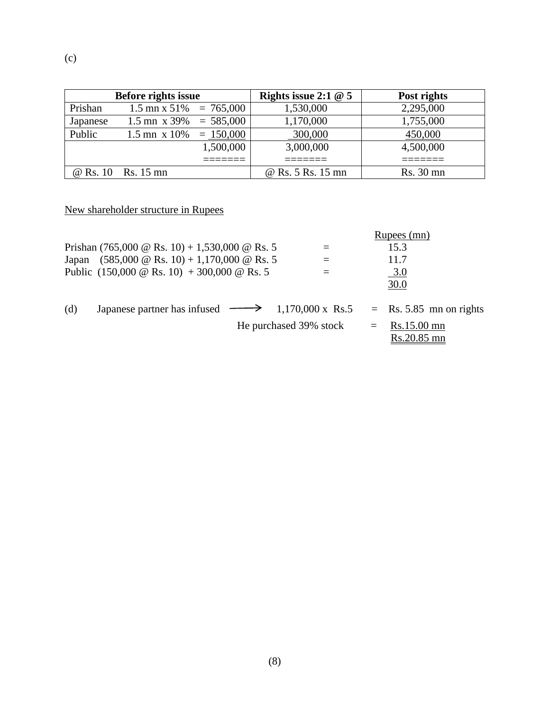|          | <b>Before rights issue</b>             | Rights issue 2:1 $@$ 5 | Post rights |
|----------|----------------------------------------|------------------------|-------------|
| Prishan  | $1.5 \text{ mm} \times 51\% = 765,000$ | 1,530,000              | 2,295,000   |
| Japanese | $1.5$ mn x 39% = 585,000               | 1,170,000              | 1,755,000   |
| Public   | 1.5 mn x 10% = $150,000$               | 300,000                | 450,000     |
|          | 1,500,000                              | 3,000,000              | 4,500,000   |
|          |                                        |                        |             |
|          | @ Rs. 10 Rs. 15 mn                     | @ Rs. 5 Rs. 15 mn      | Rs. 30 mn   |

New shareholder structure in Rupees

| Japan | Prishan (765,000 @ Rs. 10) + 1,530,000 @ Rs. 5<br>$(585,000 \&$ Rs. 10) + 1,170,000 $\&$ Rs. 5<br>Public $(150,000 \&$ Rs. 10) + 300,000 $\&$ Rs. 5 | $\equiv$               | Rupees (mn)<br>15.3<br>11.7<br><u>3.0</u>                           |
|-------|-----------------------------------------------------------------------------------------------------------------------------------------------------|------------------------|---------------------------------------------------------------------|
| (d)   | Japanese partner has infused $\rightarrow$ 1,170,000 x Rs.5                                                                                         | He purchased 39% stock | 30.0<br>$=$ Rs. 5.85 mn on rights<br>$=$ Rs.15.00 mn<br>Rs.20.85 mn |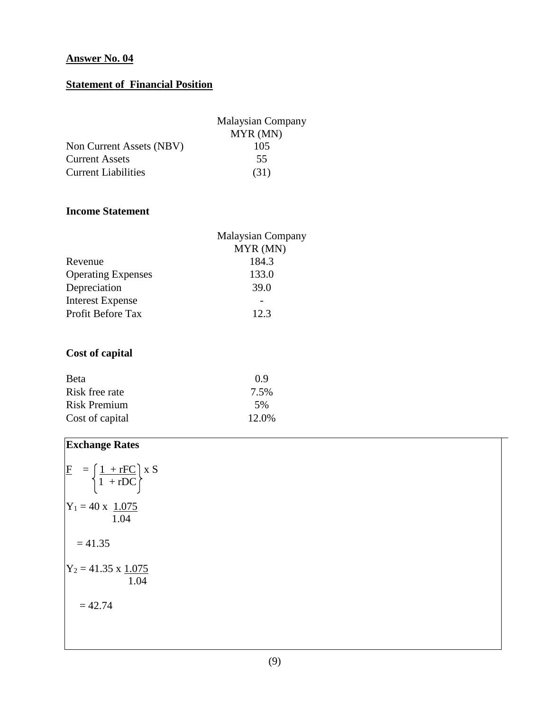# **Statement of Financial Position**

|                            | <b>Malaysian Company</b> |
|----------------------------|--------------------------|
|                            | MYR (MN)                 |
| Non Current Assets (NBV)   | 105                      |
| <b>Current Assets</b>      | 55                       |
| <b>Current Liabilities</b> | (31)                     |

## **Income Statement**

| <b>Malaysian Company</b> |  |  |
|--------------------------|--|--|
| MYR (MN)                 |  |  |
| 184.3                    |  |  |
| 133.0                    |  |  |
| 39.0                     |  |  |
|                          |  |  |
| 12.3                     |  |  |
|                          |  |  |

# **Cost of capital**

| <b>B</b> eta    | 09    |
|-----------------|-------|
| Risk free rate  | 7.5%  |
| Risk Premium    | 5%    |
| Cost of capital | 12.0% |

# **Exchange Rates**

$$
\begin{aligned}\n\overline{F} &= \left\{ \frac{1 + r\overline{FC}}{1 + rDC} \right\} x S \\
Y_1 &= 40 x \frac{1.075}{1.04} \\
&= 41.35 \\
Y_2 &= 41.35 x \frac{1.075}{1.04} \\
&= 42.74\n\end{aligned}
$$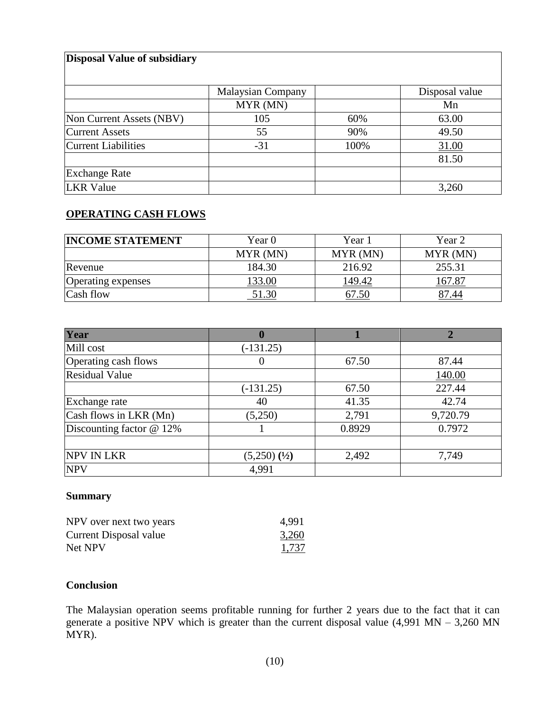#### **Disposal Value of subsidiary**

|                            | <b>Malaysian Company</b> |      | Disposal value |
|----------------------------|--------------------------|------|----------------|
|                            | MYR (MN)                 |      | Mn             |
| Non Current Assets (NBV)   | 105                      | 60%  | 63.00          |
| <b>Current Assets</b>      | 55                       | 90%  | 49.50          |
| <b>Current Liabilities</b> | $-31$                    | 100% | 31.00          |
|                            |                          |      | 81.50          |
| <b>Exchange Rate</b>       |                          |      |                |
| <b>LKR</b> Value           |                          |      | 3,260          |

## **OPERATING CASH FLOWS**

| <b>INCOME STATEMENT</b>   | Year 0   | Year 1   | Year 2   |
|---------------------------|----------|----------|----------|
|                           | MYR (MN) | MYR (MN) | MYR (MN) |
| Revenue                   | 184.30   | 216.92   | 255.31   |
| <b>Operating expenses</b> | 33.00    | 149.42   | .67.87   |
| Cash flow                 | 51.30    | 67.50    | 87.44    |

| Year                       |                   |        |          |
|----------------------------|-------------------|--------|----------|
| Mill cost                  | $(-131.25)$       |        |          |
| Operating cash flows       |                   | 67.50  | 87.44    |
| <b>Residual Value</b>      |                   |        | 140.00   |
|                            | $(-131.25)$       | 67.50  | 227.44   |
| Exchange rate              | 40                | 41.35  | 42.74    |
| Cash flows in LKR (Mn)     | (5,250)           | 2,791  | 9,720.79 |
| Discounting factor $@12\%$ |                   | 0.8929 | 0.7972   |
|                            |                   |        |          |
| <b>NPV IN LKR</b>          | $(5,250)$ $(1/2)$ | 2,492  | 7,749    |
| <b>NPV</b>                 | 4,991             |        |          |

#### **Summary**

| NPV over next two years | 4,991 |
|-------------------------|-------|
| Current Disposal value  | 3,260 |
| Net NPV                 | 1,737 |

#### **Conclusion**

The Malaysian operation seems profitable running for further 2 years due to the fact that it can generate a positive NPV which is greater than the current disposal value  $(4,991 \text{ MN} - 3,260 \text{ MN})$ MYR).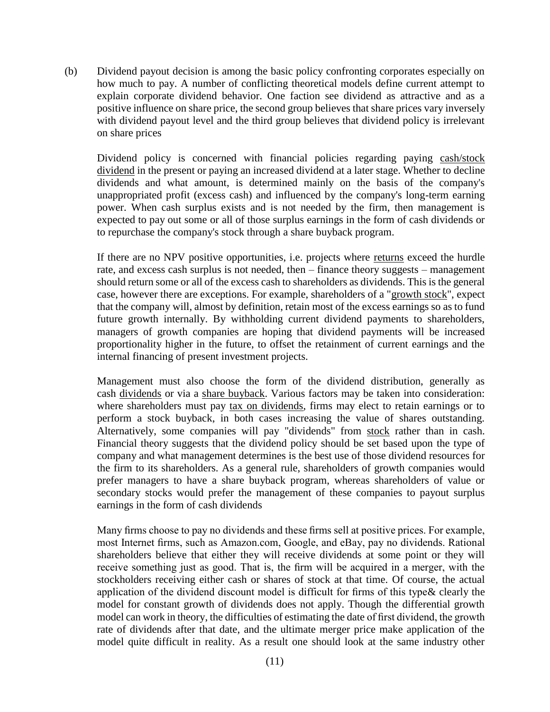(b) Dividend payout decision is among the basic policy confronting corporates especially on how much to pay. A number of conflicting theoretical models define current attempt to explain corporate dividend behavior. One faction see dividend as attractive and as a positive influence on share price, the second group believes that share prices vary inversely with dividend payout level and the third group believes that dividend policy is irrelevant on share prices

Dividend policy is concerned with financial policies regarding paying [cash/stock](http://en.wikipedia.org/wiki/Cash_dividend)  [dividend](http://en.wikipedia.org/wiki/Cash_dividend) in the present or paying an increased dividend at a later stage. Whether to decline dividends and what amount, is determined mainly on the basis of the company's unappropriated profit (excess cash) and influenced by the company's long-term earning power. When cash surplus exists and is not needed by the firm, then management is expected to pay out some or all of those surplus earnings in the form of cash dividends or to repurchase the company's stock through a share buyback program.

If there are no NPV positive opportunities, i.e. projects where [returns](http://en.wikipedia.org/wiki/Return_on_investment) exceed the hurdle rate, and excess cash surplus is not needed, then – finance theory suggests – management should return some or all of the excess cash to shareholders as dividends. This is the general case, however there are exceptions. For example, shareholders of a ["growth stock"](http://en.wikipedia.org/wiki/Growth_stock), expect that the company will, almost by definition, retain most of the excess earnings so as to fund future growth internally. By withholding current dividend payments to shareholders, managers of growth companies are hoping that dividend payments will be increased proportionality higher in the future, to offset the retainment of current earnings and the internal financing of present investment projects.

Management must also choose the form of the dividend distribution, generally as cash [dividends](http://en.wikipedia.org/wiki/Dividend) or via a [share buyback.](http://en.wikipedia.org/wiki/Treasury_stock) Various factors may be taken into consideration: where shareholders must pay [tax on dividends,](http://en.wikipedia.org/wiki/Dividend_tax) firms may elect to retain earnings or to perform a stock buyback, in both cases increasing the value of shares outstanding. Alternatively, some companies will pay "dividends" from [stock](http://en.wikipedia.org/wiki/Treasury_stock) rather than in cash. Financial theory suggests that the dividend policy should be set based upon the type of company and what management determines is the best use of those dividend resources for the firm to its shareholders. As a general rule, shareholders of growth companies would prefer managers to have a share buyback program, whereas shareholders of value or secondary stocks would prefer the management of these companies to payout surplus earnings in the form of cash dividends

Many firms choose to pay no dividends and these firms sell at positive prices. For example, most Internet firms, such as Amazon.com, Google, and eBay, pay no dividends. Rational shareholders believe that either they will receive dividends at some point or they will receive something just as good. That is, the firm will be acquired in a merger, with the stockholders receiving either cash or shares of stock at that time. Of course, the actual application of the dividend discount model is difficult for firms of this type& clearly the model for constant growth of dividends does not apply. Though the differential growth model can work in theory, the difficulties of estimating the date of first dividend, the growth rate of dividends after that date, and the ultimate merger price make application of the model quite difficult in reality. As a result one should look at the same industry other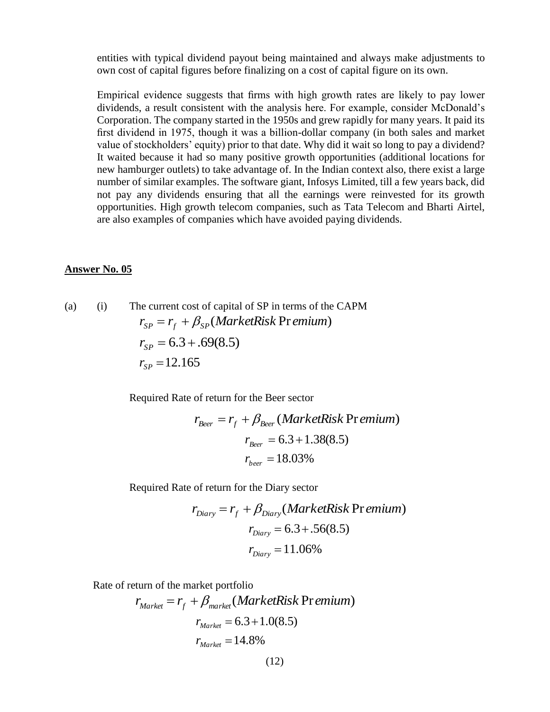entities with typical dividend payout being maintained and always make adjustments to own cost of capital figures before finalizing on a cost of capital figure on its own.

Empirical evidence suggests that firms with high growth rates are likely to pay lower dividends, a result consistent with the analysis here. For example, consider McDonald's Corporation. The company started in the 1950s and grew rapidly for many years. It paid its first dividend in 1975, though it was a billion-dollar company (in both sales and market value of stockholders' equity) prior to that date. Why did it wait so long to pay a dividend? It waited because it had so many positive growth opportunities (additional locations for new hamburger outlets) to take advantage of. In the Indian context also, there exist a large number of similar examples. The software giant, Infosys Limited, till a few years back, did not pay any dividends ensuring that all the earnings were reinvested for its growth opportunities. High growth telecom companies, such as Tata Telecom and Bharti Airtel, are also examples of companies which have avoided paying dividends.

#### **Answer No. 05**

(a) (i) The current cost of capital of SP in terms of the CAPM  $r_{SP} = r_f + \beta_{SP}(MarketRisk Pr\,emium)$  $r_{SP} = 6.3 + .69(8.5)$  $r_{SP} = 12.165$ 

Required Rate of return for the Beer sector

$$
r_{Beer} = r_f + \beta_{Beer} (MarketRisk Pr\,enum)
$$
  

$$
r_{Beer} = 6.3 + 1.38(8.5)
$$
  

$$
r_{beer} = 18.03\%
$$

Required Rate of return for the Diary sector

$$
r_{\text{Diary}} = r_f + \beta_{\text{Diary}} (MarketRisk \text{Pr}\,emium)
$$
\n
$$
r_{\text{Diary}} = 6.3 + .56(8.5)
$$
\n
$$
r_{\text{Diary}} = 11.06\%
$$

Rate of return of the market portfolio

$$
r_{Market} = r_f + \beta_{market} (MarketRisk Pr\,enum)
$$

$$
r_{Market} = 6.3 + 1.0(8.5)
$$

$$
r_{Market} = 14.8\%
$$

(12)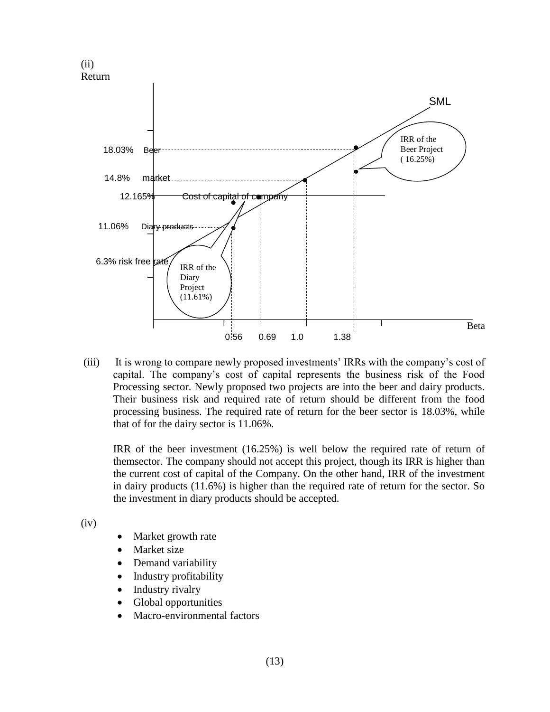

(iii) It is wrong to compare newly proposed investments' IRRs with the company's cost of capital. The company's cost of capital represents the business risk of the Food Processing sector. Newly proposed two projects are into the beer and dairy products. Their business risk and required rate of return should be different from the food processing business. The required rate of return for the beer sector is 18.03%, while that of for the dairy sector is 11.06%.

IRR of the beer investment (16.25%) is well below the required rate of return of themsector. The company should not accept this project, though its IRR is higher than the current cost of capital of the Company. On the other hand, IRR of the investment in dairy products (11.6%) is higher than the required rate of return for the sector. So the investment in diary products should be accepted.

(iv)

- Market growth rate
- Market size
- Demand variability
- Industry profitability
- Industry rivalry
- Global opportunities
- Macro-environmental factors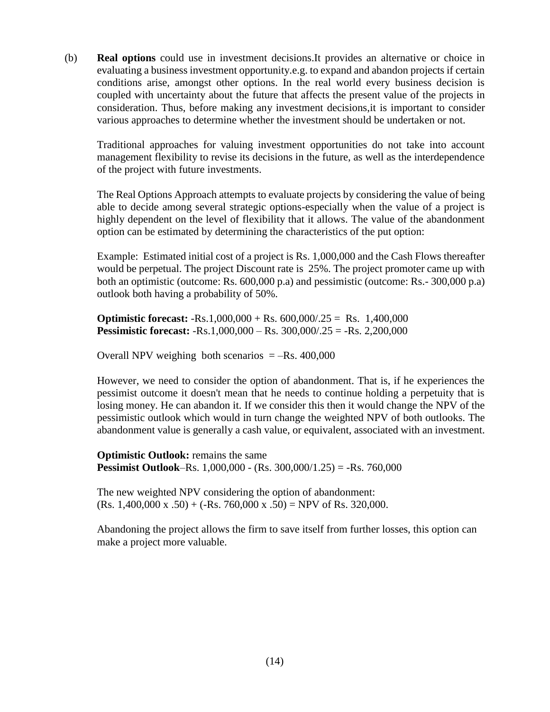(b) **Real options** could use in investment decisions.It provides an alternative or choice in evaluating a business investment opportunity.e.g. to expand and abandon projects if certain conditions arise, amongst other options. In the real world every business decision is coupled with uncertainty about the future that affects the present value of the projects in consideration. Thus, before making any investment decisions,it is important to consider various approaches to determine whether the investment should be undertaken or not.

Traditional approaches for valuing investment opportunities do not take into account management flexibility to revise its decisions in the future, as well as the interdependence of the project with future investments.

The Real Options Approach attempts to evaluate projects by considering the value of being able to decide among several strategic options-especially when the value of a project is highly dependent on the level of flexibility that it allows. The value of the abandonment option can be estimated by determining the characteristics of the put option:

Example: Estimated initial cost of a project is Rs. 1,000,000 and the Cash Flows thereafter would be perpetual. The project Discount rate is 25%. The project promoter came up with both an optimistic (outcome: Rs. 600,000 p.a) and pessimistic (outcome: Rs.- 300,000 p.a) outlook both having a probability of 50%.

**Optimistic forecast:** -Rs.1,000,000 + Rs. 600,000/.25 = Rs. 1,400,000 **Pessimistic forecast:** -Rs.1,000,000 – Rs. 300,000/.25 = -Rs. 2,200,000

Overall NPV weighing both scenarios  $=-Rs. 400,000$ 

However, we need to consider the option of abandonment. That is, if he experiences the pessimist outcome it doesn't mean that he needs to continue holding a perpetuity that is losing money. He can abandon it. If we consider this then it would change the NPV of the pessimistic outlook which would in turn change the weighted NPV of both outlooks. The abandonment value is generally a cash value, or equivalent, associated with an investment.

**Optimistic Outlook:** remains the same **Pessimist Outlook**–Rs. 1,000,000 - (Rs. 300,000/1.25) = -Rs. 760,000

The new weighted NPV considering the option of abandonment:  $(Rs. 1,400,000 \text{ x } .50) + (-Rs. 760,000 \text{ x } .50) = \text{NPV of Rs. } 320,000.$ 

Abandoning the project allows the firm to save itself from further losses, this option can make a project more valuable.